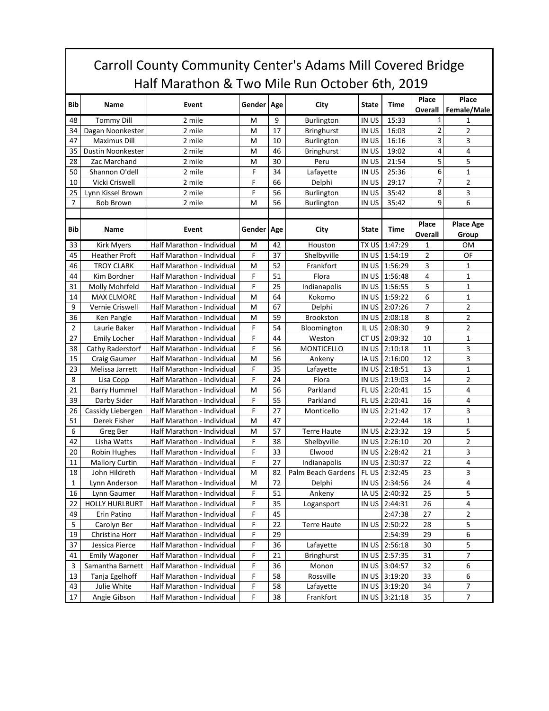## Carroll County Community Center's Adams Mill Covered Bridge Half Marathon & Two Mile Run October 6th, 2019

|                |                                   |                                                          | Gender Age |          | City               | State          |                    | Place                   | Place            |
|----------------|-----------------------------------|----------------------------------------------------------|------------|----------|--------------------|----------------|--------------------|-------------------------|------------------|
| <b>Bib</b>     | Name                              | Event                                                    |            |          |                    |                | Time               | Overall                 | Female/Male      |
| 48             | <b>Tommy Dill</b>                 | 2 mile                                                   | M          | 9        | Burlington         | IN US          | 15:33              | 1                       | 1                |
| 34             | Dagan Noonkester                  | 2 mile                                                   | M          | 17       | <b>Bringhurst</b>  | IN US          | 16:03              | $\overline{\mathbf{c}}$ | 2                |
| 47             | <b>Maximus Dill</b>               | 2 mile                                                   | M          | 10       | <b>Burlington</b>  | IN US          | 16:16              | 3                       | 3                |
| 35             | Dustin Noonkester                 | 2 mile                                                   | M          | 46       | <b>Bringhurst</b>  | IN US          | 19:02              | 4                       | 4                |
| 28             | Zac Marchand                      | 2 mile                                                   | M          | 30       | Peru               | IN US          | 21:54              | 5                       | 5                |
| 50             | Shannon O'dell                    | 2 mile                                                   | F          | 34       | Lafayette          | IN US          | 25:36              | 6                       | $\mathbf 1$      |
| 10             | Vicki Criswell                    | 2 mile                                                   | F          | 66       | Delphi             | IN US          | 29:17              | 7                       | 2                |
| 25             | Lynn Kissel Brown                 | 2 mile                                                   | F          | 56       | Burlington         | IN US          | 35:42              | 8                       | 3                |
| $\overline{7}$ | <b>Bob Brown</b>                  | 2 mile                                                   | M          | 56       | Burlington         | IN US          | 35:42              | 9                       | 6                |
|                |                                   |                                                          |            |          |                    |                |                    |                         |                  |
| Bib            | Name                              | Event                                                    | Gender Age |          | City               | State          | <b>Time</b>        | Place                   | <b>Place Age</b> |
|                |                                   |                                                          |            |          |                    |                |                    | Overall                 | Group            |
| 33             | <b>Kirk Myers</b>                 | Half Marathon - Individual                               | M          | 42       | Houston            | TX US          | 1:47:29            | $\mathbf{1}$            | 0M               |
| 45             | <b>Heather Proft</b>              | Half Marathon - Individual                               | F          | 37       | Shelbyville        |                | IN US 1:54:19      | $\overline{2}$          | OF               |
| 46             | <b>TROY CLARK</b>                 | Half Marathon - Individual                               | M          | 52       | Frankfort          | IN US          | 1:56:29            | 3                       | 1                |
| 44             | Kim Bordner                       | Half Marathon - Individual                               | F          | 51       | Flora              | IN US          | 1:56:48            | 4                       | 1                |
| 31             | Molly Mohrfeld                    | Half Marathon - Individual                               | F          | 25       | Indianapolis       | IN US          | 1:56:55            | 5                       | 1                |
| 14             | <b>MAX ELMORE</b>                 | Half Marathon - Individual                               | M          | 64       | Kokomo             | IN US          | 1:59:22            | 6                       | 1                |
| 9              | Vernie Criswell                   | Half Marathon - Individual                               | M          | 67       | Delphi             | IN US          | 2:07:26            | $\overline{7}$          | 2                |
| 36             | Ken Pangle                        | Half Marathon - Individual                               | M          | 59       | <b>Brookston</b>   | in US          | 2:08:18            | 8                       | 2                |
| $\overline{2}$ | Laurie Baker                      | Half Marathon - Individual                               | F          | 54       | Bloomington        | IL US          | 2:08:30            | 9                       | 2                |
| 27             | <b>Emily Locher</b>               | Half Marathon - Individual                               | F          | 44       | Weston             | CT US          | 2:09:32            | 10                      | 1                |
| 38             | Cathy Raderstorf                  | Half Marathon - Individual                               | F          | 56       | <b>MONTICELLO</b>  | IN US          | 2:10:18            | 11                      | 3                |
| 15             | Craig Gaumer                      | Half Marathon - Individual                               | M          | 56       | Ankeny             | IA US          | 2:16:00            | 12                      | 3                |
| 23             | Melissa Jarrett                   | Half Marathon - Individual                               | F          | 35       | Lafayette          | IN US          | 2:18:51            | 13                      | 1                |
| 8<br>21        | Lisa Copp                         | Half Marathon - Individual                               | F          | 24<br>56 | Flora<br>Parkland  | IN US<br>FL US | 2:19:03<br>2:20:41 | 14<br>15                | 2<br>4           |
|                | <b>Barry Hummel</b>               | Half Marathon - Individual                               | M<br>F     | 55       |                    |                | 2:20:41            |                         |                  |
| 39             | Darby Sider                       | Half Marathon - Individual                               | F          | 27       | Parkland           | FL US          |                    | 16                      | 4                |
| 26<br>51       | Cassidy Liebergen<br>Derek Fisher | Half Marathon - Individual                               | M          | 47       | Monticello         | IN US          | 2:21:42            | 17<br>18                | 3                |
| 6              | Greg Ber                          | Half Marathon - Individual<br>Half Marathon - Individual | M          | 57       | <b>Terre Haute</b> | IN US          | 2:22:44<br>2:23:32 | 19                      | 1<br>5           |
| 42             | Lisha Watts                       | Half Marathon - Individual                               | F          | 38       | Shelbyville        | IN US          | 2:26:10            | 20                      | 2                |
| 20             | Robin Hughes                      | Half Marathon - Individual                               | F          | 33       | Elwood             | IN US          | 2:28:42            | 21                      | 3                |
| 11             | <b>Mallory Curtin</b>             | Half Marathon - Individual                               | F          | 27       | Indianapolis       | IN US          | 2:30:37            | 22                      | 4                |
| 18             | John Hildreth                     | Half Marathon - Individual                               | M          | 82       | Palm Beach Gardens | FL US          | 2:32:45            | 23                      | 3                |
| 1              | Lynn Anderson                     | Half Marathon - Individual                               | M          | 72       | Delphi             |                | IN US 2:34:56      | 24                      | 4                |
| ${\bf 16}$     | Lynn Gaumer                       | Half Marathon - Individual                               | F          | 51       | Ankeny             |                | IA US 2:40:32      | 25                      | 5                |
| 22             | <b>HOLLY HURLBURT</b>             | Half Marathon - Individual                               | F          | 35       | Logansport         |                | IN US 2:44:31      | 26                      | 4                |
| 49             | Erin Patino                       | Half Marathon - Individual                               | F          | 45       |                    |                | 2:47:38            | 27                      | 2                |
| 5              | Carolyn Ber                       | Half Marathon - Individual                               | F          | 22       | <b>Terre Haute</b> | IN US          | 2:50:22            | 28                      | 5                |
| 19             | Christina Horr                    | Half Marathon - Individual                               | F          | 29       |                    |                | 2:54:39            | 29                      | 6                |
| 37             | Jessica Pierce                    | Half Marathon - Individual                               | F          | 36       | Lafayette          | in US          | 2:56:18            | 30                      | 5                |
| 41             | <b>Emily Wagoner</b>              | Half Marathon - Individual                               | F          | 21       | Bringhurst         |                | IN US 2:57:35      | 31                      | 7                |
| 3              | Samantha Barnett                  | Half Marathon - Individual                               | F          | 36       | Monon              |                | IN US 3:04:57      | 32                      | 6                |
| 13             | Tanja Egelhoff                    | Half Marathon - Individual                               | F          | 58       | Rossville          |                | IN US 3:19:20      | 33                      | 6                |
| 43             | Julie White                       | Half Marathon - Individual                               | F          | 58       | Lafayette          |                | IN US 3:19:20      | 34                      | 7                |
| 17             | Angie Gibson                      | Half Marathon - Individual                               | F          | 38       | Frankfort          |                | IN US 3:21:18      | 35                      | $\overline{7}$   |